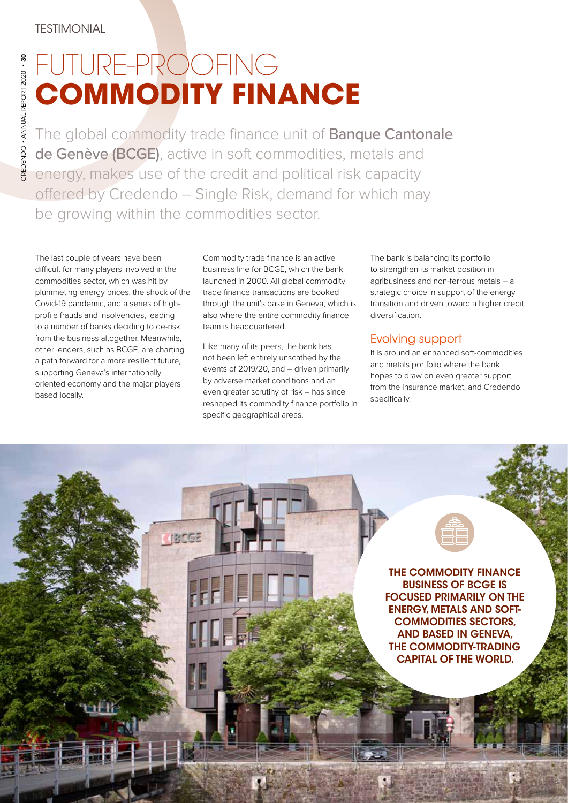## FUTURE-PROOFING **COMMODITY FINANCE**

**INCGE** 

The global commodity trade finance unit of Banque Cantonale de Genève (BCGE), active in soft commodities, metals and energy, makes use of the credit and political risk capacity offered by Credendo – Single Risk, demand for which may be growing within the commodities sector.

The last couple of years have been difficult for many players involved in the commodities sector, which was hit by plummeting energy prices, the shock of the Covid-19 pandemic, and a series of highprofile frauds and insolvencies, leading to a number of banks deciding to de-risk from the business altogether. Meanwhile, other lenders, such as BCGE, are charting a path forward for a more resilient future, supporting Geneva's internationally oriented economy and the major players based locally.

Commodity trade finance is an active business line for BCGE, which the bank launched in 2000. All global commodity trade finance transactions are booked through the unit's base in Geneva, which is also where the entire commodity finance team is headquartered.

Like many of its peers, the bank has not been left entirely unscathed by the events of 2019/20, and – driven primarily by adverse market conditions and an even greater scrutiny of risk – has since reshaped its commodity finance portfolio in specific geographical areas.

The bank is balancing its portfolio to strengthen its market position in agribusiness and non-ferrous metals – a strategic choice in support of the energy transition and driven toward a higher credit diversification.

## Evolving support

It is around an enhanced soft-commodities and metals portfolio where the bank hopes to draw on even greater support from the insurance market, and Credendo specifically.

THE COMMODITY FINANCE BUSINESS OF BCGE IS FOCUSED PRIMARILY ON THE ENERGY, METALS AND SOFT-COMMODITIES SECTORS, AND BASED IN GENEVA, THE COMMODITY-TRADING CAPITAL OF THE WORLD.